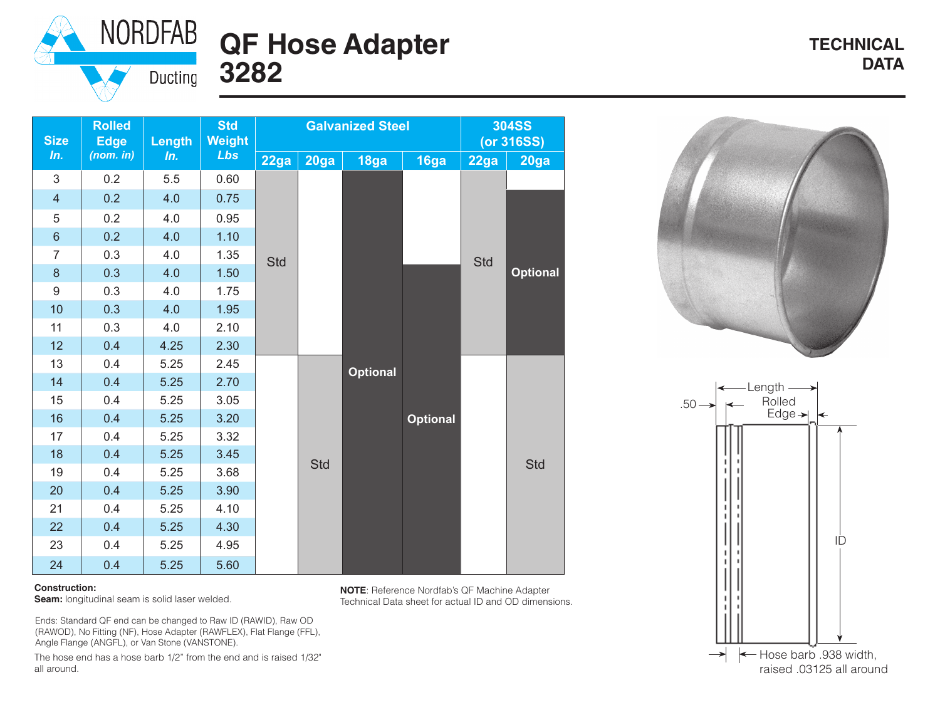

## **QF Hose Adapter** TECHNICAL TECHNICAL **DATA 3282**

**TECHNICAL**

| <b>Size</b>    | <b>Rolled</b><br><b>Edge</b> | Length | <b>Std</b><br><b>Weight</b> |      |      | <b>Galvanized Steel</b> | <b>304SS</b><br>(or 316SS) |      |                 |
|----------------|------------------------------|--------|-----------------------------|------|------|-------------------------|----------------------------|------|-----------------|
| In.            | (nom. in)                    | In.    | Lbs                         | 22ga | 20ga | 18ga                    | 16ga                       | 22ga | 20ga            |
| 3              | 0.2                          | 5.5    | 0.60                        |      |      |                         |                            | Std  | <b>Optional</b> |
| $\overline{4}$ | 0.2                          | 4.0    | 0.75                        |      |      |                         |                            |      |                 |
| 5              | 0.2                          | 4.0    | 0.95                        |      |      |                         |                            |      |                 |
| $\,$ 6 $\,$    | 0.2                          | 4.0    | 1.10                        |      |      |                         |                            |      |                 |
| $\overline{7}$ | 0.3                          | 4.0    | 1.35                        | Std  |      |                         |                            |      |                 |
| 8              | 0.3                          | 4.0    | 1.50                        |      |      |                         | <b>Optional</b>            |      |                 |
| 9              | 0.3                          | 4.0    | 1.75                        |      |      |                         |                            |      |                 |
| 10             | 0.3                          | 4.0    | 1.95                        |      |      |                         |                            |      |                 |
| 11             | 0.3                          | 4.0    | 2.10                        |      |      |                         |                            |      |                 |
| 12             | 0.4                          | 4.25   | 2.30                        |      |      |                         |                            |      |                 |
| 13             | 0.4                          | 5.25   | 2.45                        |      |      | <b>Optional</b>         |                            |      |                 |
| 14             | 0.4                          | 5.25   | 2.70                        |      |      |                         |                            |      |                 |
| 15             | 0.4                          | 5.25   | 3.05                        |      |      |                         |                            |      |                 |
| 16             | 0.4                          | 5.25   | 3.20                        |      | Std  |                         |                            |      |                 |
| 17             | 0.4                          | 5.25   | 3.32                        |      |      |                         |                            |      | <b>Std</b>      |
| 18             | 0.4                          | 5.25   | 3.45                        |      |      |                         |                            |      |                 |
| 19             | 0.4                          | 5.25   | 3.68                        |      |      |                         |                            |      |                 |
| 20             | 0.4                          | 5.25   | 3.90                        |      |      |                         |                            |      |                 |
| 21             | 0.4                          | 5.25   | 4.10                        |      |      |                         |                            |      |                 |
| 22             | 0.4                          | 5.25   | 4.30                        |      |      |                         |                            |      |                 |
| 23             | 0.4                          | 5.25   | 4.95                        |      |      |                         |                            |      |                 |
| 24             | 0.4                          | 5.25   | 5.60                        |      |      |                         |                            |      |                 |





## **Construction:**

**Seam:** longitudinal seam is solid laser welded.

Ends: Standard QF end can be changed to Raw ID (RAWID), Raw OD (RAWOD), No Fitting (NF), Hose Adapter (RAWFLEX), Flat Flange (FFL), Angle Flange (ANGFL), or Van Stone (VANSTONE).

The hose end has a hose barb 1/2" from the end and is raised 1/32" all around.

**NOTE**: Reference Nordfab's QF Machine Adapter Technical Data sheet for actual ID and OD dimensions.